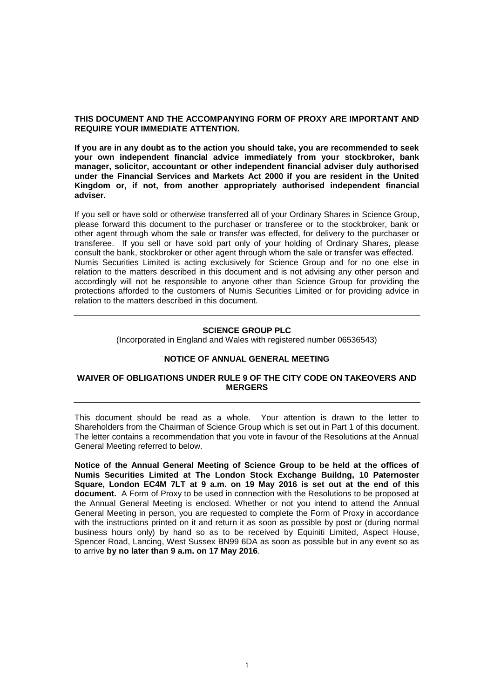# **THIS DOCUMENT AND THE ACCOMPANYING FORM OF PROXY ARE IMPORTANT AND REQUIRE YOUR IMMEDIATE ATTENTION.**

**If you are in any doubt as to the action you should take, you are recommended to seek your own independent financial advice immediately from your stockbroker, bank manager, solicitor, accountant or other independent financial adviser duly authorised under the Financial Services and Markets Act 2000 if you are resident in the United Kingdom or, if not, from another appropriately authorised independent financial adviser.**

If you sell or have sold or otherwise transferred all of your Ordinary Shares in Science Group, please forward this document to the purchaser or transferee or to the stockbroker, bank or other agent through whom the sale or transfer was effected, for delivery to the purchaser or transferee. If you sell or have sold part only of your holding of Ordinary Shares, please consult the bank, stockbroker or other agent through whom the sale or transfer was effected. Numis Securities Limited is acting exclusively for Science Group and for no one else in relation to the matters described in this document and is not advising any other person and accordingly will not be responsible to anyone other than Science Group for providing the protections afforded to the customers of Numis Securities Limited or for providing advice in relation to the matters described in this document.

# **SCIENCE GROUP PLC**

(Incorporated in England and Wales with registered number 06536543)

# **NOTICE OF ANNUAL GENERAL MEETING**

# **WAIVER OF OBLIGATIONS UNDER RULE 9 OF THE CITY CODE ON TAKEOVERS AND MERGERS**

This document should be read as a whole. Your attention is drawn to the letter to Shareholders from the Chairman of Science Group which is set out in Part 1 of this document. The letter contains a recommendation that you vote in favour of the Resolutions at the Annual General Meeting referred to below.

**Notice of the Annual General Meeting of Science Group to be held at the offices of Numis Securities Limited at The London Stock Exchange Buildng, 10 Paternoster Square, London EC4M 7LT at 9 a.m. on 19 May 2016 is set out at the end of this document.** A Form of Proxy to be used in connection with the Resolutions to be proposed at the Annual General Meeting is enclosed. Whether or not you intend to attend the Annual General Meeting in person, you are requested to complete the Form of Proxy in accordance with the instructions printed on it and return it as soon as possible by post or (during normal business hours only) by hand so as to be received by Equiniti Limited, Aspect House, Spencer Road, Lancing, West Sussex BN99 6DA as soon as possible but in any event so as to arrive **by no later than 9 a.m. on 17 May 2016**.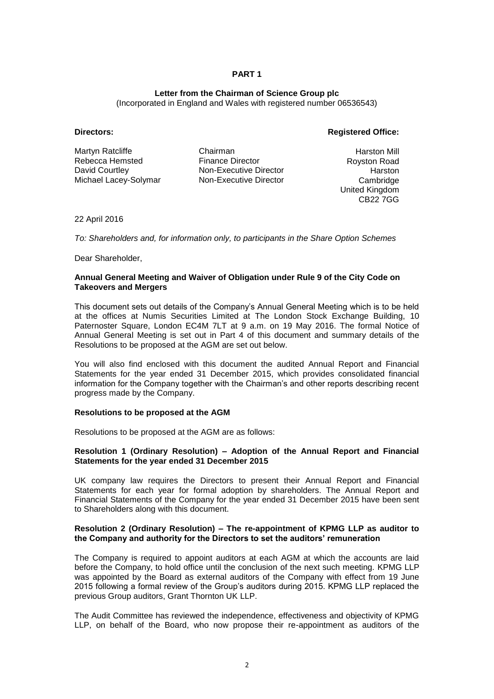# **Letter from the Chairman of Science Group plc**

(Incorporated in England and Wales with registered number 06536543)

# **Directors: Registered Office:**

Martyn Ratcliffe Rebecca Hemsted David Courtley Michael Lacey-Solymar

Chairman Finance Director Non-Executive Director Non-Executive Director

Harston Mill Royston Road Harston **Cambridge** United Kingdom CB22 7GG

22 April 2016

*To: Shareholders and, for information only, to participants in the Share Option Schemes*

Dear Shareholder,

# **Annual General Meeting and Waiver of Obligation under Rule 9 of the City Code on Takeovers and Mergers**

This document sets out details of the Company's Annual General Meeting which is to be held at the offices at Numis Securities Limited at The London Stock Exchange Building, 10 Paternoster Square, London EC4M 7LT at 9 a.m. on 19 May 2016. The formal Notice of Annual General Meeting is set out in Part 4 of this document and summary details of the Resolutions to be proposed at the AGM are set out below.

You will also find enclosed with this document the audited Annual Report and Financial Statements for the year ended 31 December 2015, which provides consolidated financial information for the Company together with the Chairman's and other reports describing recent progress made by the Company.

#### **Resolutions to be proposed at the AGM**

Resolutions to be proposed at the AGM are as follows:

# **Resolution 1 (Ordinary Resolution) – Adoption of the Annual Report and Financial Statements for the year ended 31 December 2015**

UK company law requires the Directors to present their Annual Report and Financial Statements for each year for formal adoption by shareholders. The Annual Report and Financial Statements of the Company for the year ended 31 December 2015 have been sent to Shareholders along with this document.

# **Resolution 2 (Ordinary Resolution) – The re-appointment of KPMG LLP as auditor to the Company and authority for the Directors to set the auditors' remuneration**

The Company is required to appoint auditors at each AGM at which the accounts are laid before the Company, to hold office until the conclusion of the next such meeting. KPMG LLP was appointed by the Board as external auditors of the Company with effect from 19 June 2015 following a formal review of the Group's auditors during 2015. KPMG LLP replaced the previous Group auditors, Grant Thornton UK LLP.

The Audit Committee has reviewed the independence, effectiveness and objectivity of KPMG LLP, on behalf of the Board, who now propose their re-appointment as auditors of the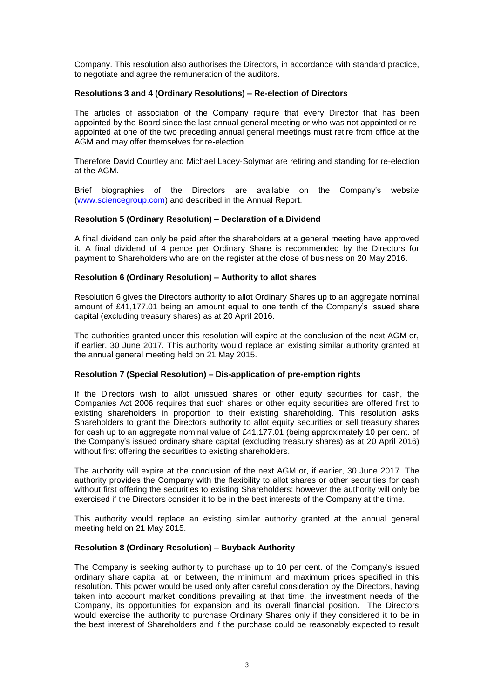Company. This resolution also authorises the Directors, in accordance with standard practice, to negotiate and agree the remuneration of the auditors.

# **Resolutions 3 and 4 (Ordinary Resolutions) – Re-election of Directors**

The articles of association of the Company require that every Director that has been appointed by the Board since the last annual general meeting or who was not appointed or reappointed at one of the two preceding annual general meetings must retire from office at the AGM and may offer themselves for re-election.

Therefore David Courtley and Michael Lacey-Solymar are retiring and standing for re-election at the AGM.

Brief biographies of the Directors are available on the Company's website [\(www.sciencegroup.com\)](http://www.sciencegroup.com/) and described in the Annual Report.

#### **Resolution 5 (Ordinary Resolution) – Declaration of a Dividend**

A final dividend can only be paid after the shareholders at a general meeting have approved it. A final dividend of 4 pence per Ordinary Share is recommended by the Directors for payment to Shareholders who are on the register at the close of business on 20 May 2016.

#### **Resolution 6 (Ordinary Resolution) – Authority to allot shares**

Resolution 6 gives the Directors authority to allot Ordinary Shares up to an aggregate nominal amount of £41,177.01 being an amount equal to one tenth of the Company's issued share capital (excluding treasury shares) as at 20 April 2016.

The authorities granted under this resolution will expire at the conclusion of the next AGM or, if earlier, 30 June 2017. This authority would replace an existing similar authority granted at the annual general meeting held on 21 May 2015.

# **Resolution 7 (Special Resolution) – Dis-application of pre-emption rights**

If the Directors wish to allot unissued shares or other equity securities for cash, the Companies Act 2006 requires that such shares or other equity securities are offered first to existing shareholders in proportion to their existing shareholding. This resolution asks Shareholders to grant the Directors authority to allot equity securities or sell treasury shares for cash up to an aggregate nominal value of £41,177.01 (being approximately 10 per cent. of the Company's issued ordinary share capital (excluding treasury shares) as at 20 April 2016) without first offering the securities to existing shareholders.

The authority will expire at the conclusion of the next AGM or, if earlier, 30 June 2017. The authority provides the Company with the flexibility to allot shares or other securities for cash without first offering the securities to existing Shareholders; however the authority will only be exercised if the Directors consider it to be in the best interests of the Company at the time.

This authority would replace an existing similar authority granted at the annual general meeting held on 21 May 2015.

#### **Resolution 8 (Ordinary Resolution) – Buyback Authority**

The Company is seeking authority to purchase up to 10 per cent. of the Company's issued ordinary share capital at, or between, the minimum and maximum prices specified in this resolution. This power would be used only after careful consideration by the Directors, having taken into account market conditions prevailing at that time, the investment needs of the Company, its opportunities for expansion and its overall financial position. The Directors would exercise the authority to purchase Ordinary Shares only if they considered it to be in the best interest of Shareholders and if the purchase could be reasonably expected to result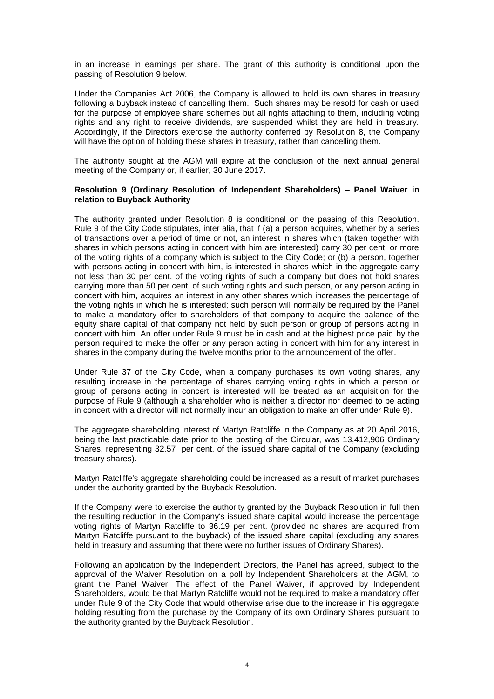in an increase in earnings per share. The grant of this authority is conditional upon the passing of Resolution 9 below.

Under the Companies Act 2006, the Company is allowed to hold its own shares in treasury following a buyback instead of cancelling them. Such shares may be resold for cash or used for the purpose of employee share schemes but all rights attaching to them, including voting rights and any right to receive dividends, are suspended whilst they are held in treasury. Accordingly, if the Directors exercise the authority conferred by Resolution 8, the Company will have the option of holding these shares in treasury, rather than cancelling them.

The authority sought at the AGM will expire at the conclusion of the next annual general meeting of the Company or, if earlier, 30 June 2017.

# **Resolution 9 (Ordinary Resolution of Independent Shareholders) – Panel Waiver in relation to Buyback Authority**

The authority granted under Resolution 8 is conditional on the passing of this Resolution. Rule 9 of the City Code stipulates, inter alia, that if (a) a person acquires, whether by a series of transactions over a period of time or not, an interest in shares which (taken together with shares in which persons acting in concert with him are interested) carry 30 per cent. or more of the voting rights of a company which is subject to the City Code; or (b) a person, together with persons acting in concert with him, is interested in shares which in the aggregate carry not less than 30 per cent. of the voting rights of such a company but does not hold shares carrying more than 50 per cent. of such voting rights and such person, or any person acting in concert with him, acquires an interest in any other shares which increases the percentage of the voting rights in which he is interested; such person will normally be required by the Panel to make a mandatory offer to shareholders of that company to acquire the balance of the equity share capital of that company not held by such person or group of persons acting in concert with him. An offer under Rule 9 must be in cash and at the highest price paid by the person required to make the offer or any person acting in concert with him for any interest in shares in the company during the twelve months prior to the announcement of the offer.

Under Rule 37 of the City Code, when a company purchases its own voting shares, any resulting increase in the percentage of shares carrying voting rights in which a person or group of persons acting in concert is interested will be treated as an acquisition for the purpose of Rule 9 (although a shareholder who is neither a director nor deemed to be acting in concert with a director will not normally incur an obligation to make an offer under Rule 9).

The aggregate shareholding interest of Martyn Ratcliffe in the Company as at 20 April 2016, being the last practicable date prior to the posting of the Circular, was 13,412,906 Ordinary Shares, representing 32.57 per cent. of the issued share capital of the Company (excluding treasury shares).

Martyn Ratcliffe's aggregate shareholding could be increased as a result of market purchases under the authority granted by the Buyback Resolution.

If the Company were to exercise the authority granted by the Buyback Resolution in full then the resulting reduction in the Company's issued share capital would increase the percentage voting rights of Martyn Ratcliffe to 36.19 per cent. (provided no shares are acquired from Martyn Ratcliffe pursuant to the buyback) of the issued share capital (excluding any shares held in treasury and assuming that there were no further issues of Ordinary Shares).

Following an application by the Independent Directors, the Panel has agreed, subject to the approval of the Waiver Resolution on a poll by Independent Shareholders at the AGM, to grant the Panel Waiver. The effect of the Panel Waiver, if approved by Independent Shareholders, would be that Martyn Ratcliffe would not be required to make a mandatory offer under Rule 9 of the City Code that would otherwise arise due to the increase in his aggregate holding resulting from the purchase by the Company of its own Ordinary Shares pursuant to the authority granted by the Buyback Resolution.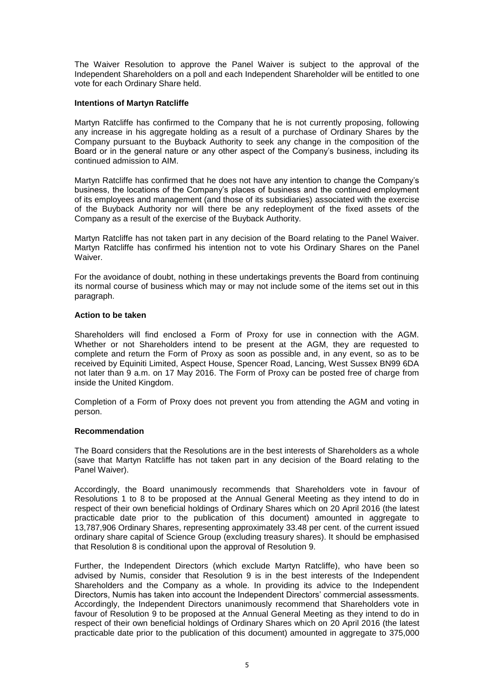The Waiver Resolution to approve the Panel Waiver is subject to the approval of the Independent Shareholders on a poll and each Independent Shareholder will be entitled to one vote for each Ordinary Share held.

# **Intentions of Martyn Ratcliffe**

Martyn Ratcliffe has confirmed to the Company that he is not currently proposing, following any increase in his aggregate holding as a result of a purchase of Ordinary Shares by the Company pursuant to the Buyback Authority to seek any change in the composition of the Board or in the general nature or any other aspect of the Company's business, including its continued admission to AIM.

Martyn Ratcliffe has confirmed that he does not have any intention to change the Company's business, the locations of the Company's places of business and the continued employment of its employees and management (and those of its subsidiaries) associated with the exercise of the Buyback Authority nor will there be any redeployment of the fixed assets of the Company as a result of the exercise of the Buyback Authority.

Martyn Ratcliffe has not taken part in any decision of the Board relating to the Panel Waiver. Martyn Ratcliffe has confirmed his intention not to vote his Ordinary Shares on the Panel Waiver.

For the avoidance of doubt, nothing in these undertakings prevents the Board from continuing its normal course of business which may or may not include some of the items set out in this paragraph.

# **Action to be taken**

Shareholders will find enclosed a Form of Proxy for use in connection with the AGM. Whether or not Shareholders intend to be present at the AGM, they are requested to complete and return the Form of Proxy as soon as possible and, in any event, so as to be received by Equiniti Limited, Aspect House, Spencer Road, Lancing, West Sussex BN99 6DA not later than 9 a.m. on 17 May 2016. The Form of Proxy can be posted free of charge from inside the United Kingdom.

Completion of a Form of Proxy does not prevent you from attending the AGM and voting in person.

# **Recommendation**

The Board considers that the Resolutions are in the best interests of Shareholders as a whole (save that Martyn Ratcliffe has not taken part in any decision of the Board relating to the Panel Waiver).

Accordingly, the Board unanimously recommends that Shareholders vote in favour of Resolutions 1 to 8 to be proposed at the Annual General Meeting as they intend to do in respect of their own beneficial holdings of Ordinary Shares which on 20 April 2016 (the latest practicable date prior to the publication of this document) amounted in aggregate to 13,787,906 Ordinary Shares, representing approximately 33.48 per cent. of the current issued ordinary share capital of Science Group (excluding treasury shares). It should be emphasised that Resolution 8 is conditional upon the approval of Resolution 9.

Further, the Independent Directors (which exclude Martyn Ratcliffe), who have been so advised by Numis, consider that Resolution 9 is in the best interests of the Independent Shareholders and the Company as a whole. In providing its advice to the Independent Directors, Numis has taken into account the Independent Directors' commercial assessments. Accordingly, the Independent Directors unanimously recommend that Shareholders vote in favour of Resolution 9 to be proposed at the Annual General Meeting as they intend to do in respect of their own beneficial holdings of Ordinary Shares which on 20 April 2016 (the latest practicable date prior to the publication of this document) amounted in aggregate to 375,000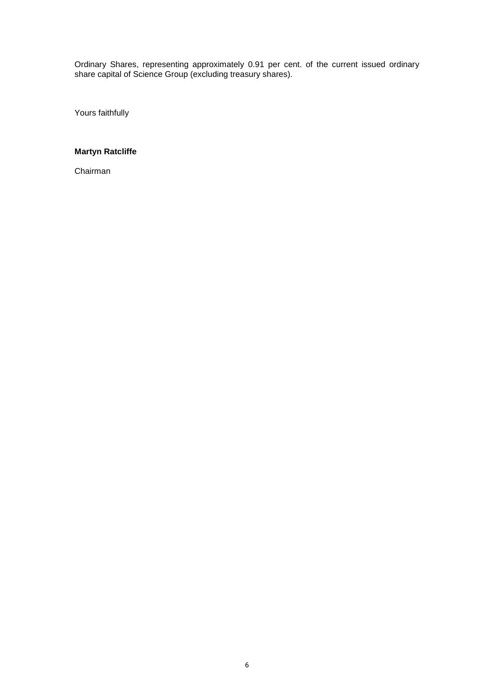Ordinary Shares, representing approximately 0.91 per cent. of the current issued ordinary share capital of Science Group (excluding treasury shares).

Yours faithfully

# **Martyn Ratcliffe**

Chairman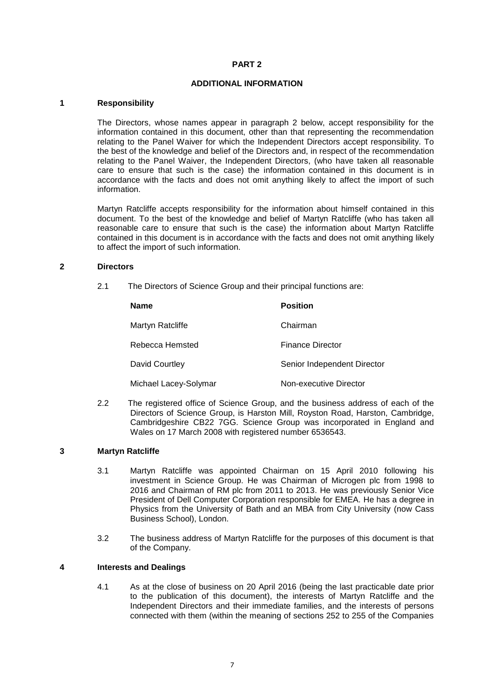# **ADDITIONAL INFORMATION**

#### **1 Responsibility**

The Directors, whose names appear in paragraph 2 below, accept responsibility for the information contained in this document, other than that representing the recommendation relating to the Panel Waiver for which the Independent Directors accept responsibility. To the best of the knowledge and belief of the Directors and, in respect of the recommendation relating to the Panel Waiver, the Independent Directors, (who have taken all reasonable care to ensure that such is the case) the information contained in this document is in accordance with the facts and does not omit anything likely to affect the import of such information.

Martyn Ratcliffe accepts responsibility for the information about himself contained in this document. To the best of the knowledge and belief of Martyn Ratcliffe (who has taken all reasonable care to ensure that such is the case) the information about Martyn Ratcliffe contained in this document is in accordance with the facts and does not omit anything likely to affect the import of such information.

#### **2 Directors**

2.1 The Directors of Science Group and their principal functions are:

| <b>Name</b>           | <b>Position</b>             |
|-----------------------|-----------------------------|
| Martyn Ratcliffe      | Chairman                    |
| Rebecca Hemsted       | <b>Finance Director</b>     |
| David Courtley        | Senior Independent Director |
| Michael Lacey-Solymar | Non-executive Director      |

2.2 The registered office of Science Group, and the business address of each of the Directors of Science Group, is Harston Mill, Royston Road, Harston, Cambridge, Cambridgeshire CB22 7GG. Science Group was incorporated in England and Wales on 17 March 2008 with registered number 6536543.

# **3 Martyn Ratcliffe**

- 3.1 Martyn Ratcliffe was appointed Chairman on 15 April 2010 following his investment in Science Group. He was Chairman of Microgen plc from 1998 to 2016 and Chairman of RM plc from 2011 to 2013. He was previously Senior Vice President of Dell Computer Corporation responsible for EMEA. He has a degree in Physics from the University of Bath and an MBA from City University (now Cass Business School), London.
- 3.2 The business address of Martyn Ratcliffe for the purposes of this document is that of the Company.

# **4 Interests and Dealings**

4.1 As at the close of business on 20 April 2016 (being the last practicable date prior to the publication of this document), the interests of Martyn Ratcliffe and the Independent Directors and their immediate families, and the interests of persons connected with them (within the meaning of sections 252 to 255 of the Companies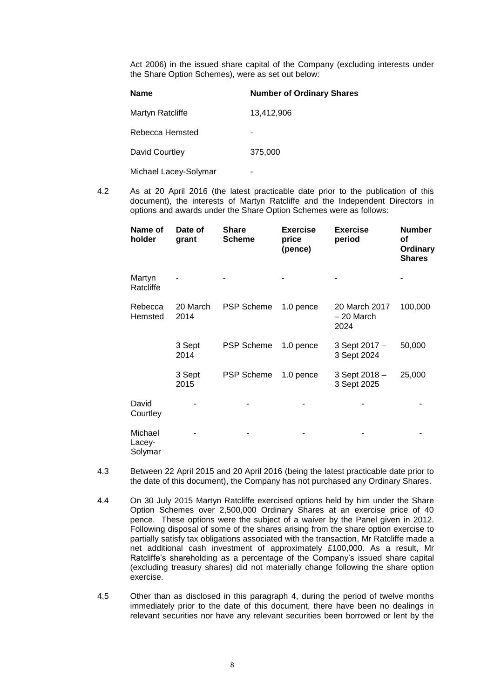Act 2006) in the issued share capital of the Company (excluding interests under the Share Option Schemes), were as set out below:

| <b>Name</b>           | <b>Number of Ordinary Shares</b> |  |  |
|-----------------------|----------------------------------|--|--|
| Martyn Ratcliffe      | 13,412,906                       |  |  |
| Rebecca Hemsted       |                                  |  |  |
| David Courtley        | 375,000                          |  |  |
| Michael Lacey-Solymar |                                  |  |  |

4.2 As at 20 April 2016 (the latest practicable date prior to the publication of this document), the interests of Martyn Ratcliffe and the Independent Directors in options and awards under the Share Option Schemes were as follows:

| Name of<br>holder            | Date of<br>grant | <b>Share</b><br><b>Scheme</b> | <b>Exercise</b><br>price<br>(pence) | <b>Exercise</b><br>period           | <b>Number</b><br>оf<br><b>Ordinary</b><br><b>Shares</b> |
|------------------------------|------------------|-------------------------------|-------------------------------------|-------------------------------------|---------------------------------------------------------|
| Martyn<br>Ratcliffe          |                  |                               |                                     |                                     |                                                         |
| Rebecca<br>Hemsted           | 20 March<br>2014 | <b>PSP Scheme</b>             | 1.0 pence                           | 20 March 2017<br>- 20 March<br>2024 | 100,000                                                 |
|                              | 3 Sept<br>2014   | <b>PSP Scheme</b>             | 1.0 pence                           | 3 Sept 2017 -<br>3 Sept 2024        | 50,000                                                  |
|                              | 3 Sept<br>2015   | <b>PSP Scheme</b>             | 1.0 pence                           | 3 Sept 2018 -<br>3 Sept 2025        | 25,000                                                  |
| David<br>Courtley            |                  |                               |                                     |                                     |                                                         |
| Michael<br>Lacey-<br>Solymar |                  |                               |                                     |                                     |                                                         |

- 4.3 Between 22 April 2015 and 20 April 2016 (being the latest practicable date prior to the date of this document), the Company has not purchased any Ordinary Shares.
- 4.4 On 30 July 2015 Martyn Ratcliffe exercised options held by him under the Share Option Schemes over 2,500,000 Ordinary Shares at an exercise price of 40 pence. These options were the subject of a waiver by the Panel given in 2012. Following disposal of some of the shares arising from the share option exercise to partially satisfy tax obligations associated with the transaction, Mr Ratcliffe made a net additional cash investment of approximately £100,000. As a result, Mr Ratcliffe's shareholding as a percentage of the Company's issued share capital (excluding treasury shares) did not materially change following the share option exercise.

4.5 Other than as disclosed in this paragraph 4, during the period of twelve months immediately prior to the date of this document, there have been no dealings in relevant securities nor have any relevant securities been borrowed or lent by the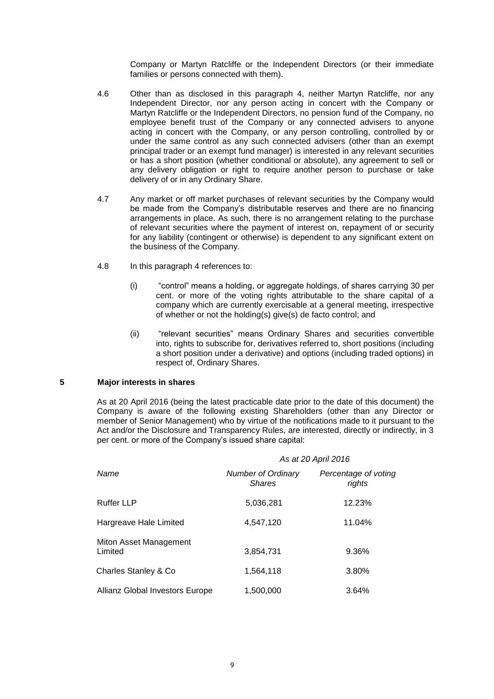Company or Martyn Ratcliffe or the Independent Directors (or their immediate families or persons connected with them).

- 4.6 Other than as disclosed in this paragraph 4, neither Martyn Ratcliffe, nor any Independent Director, nor any person acting in concert with the Company or Martyn Ratcliffe or the Independent Directors, no pension fund of the Company, no employee benefit trust of the Company or any connected advisers to anyone acting in concert with the Company, or any person controlling, controlled by or under the same control as any such connected advisers (other than an exempt principal trader or an exempt fund manager) is interested in any relevant securities or has a short position (whether conditional or absolute), any agreement to sell or any delivery obligation or right to require another person to purchase or take delivery of or in any Ordinary Share.
- 4.7 Any market or off market purchases of relevant securities by the Company would be made from the Company's distributable reserves and there are no financing arrangements in place. As such, there is no arrangement relating to the purchase of relevant securities where the payment of interest on, repayment of or security for any liability (contingent or otherwise) is dependent to any significant extent on the business of the Company.
- 4.8 In this paragraph 4 references to:
	- (i) "control" means a holding, or aggregate holdings, of shares carrying 30 per cent. or more of the voting rights attributable to the share capital of a company which are currently exercisable at a general meeting, irrespective of whether or not the holding(s) give(s) de facto control; and
	- (ii) "relevant securities" means Ordinary Shares and securities convertible into, rights to subscribe for, derivatives referred to, short positions (including a short position under a derivative) and options (including traded options) in respect of, Ordinary Shares.

# **5 Major interests in shares**

As at 20 April 2016 (being the latest practicable date prior to the date of this document) the Company is aware of the following existing Shareholders (other than any Director or member of Senior Management) who by virtue of the notifications made to it pursuant to the Act and/or the Disclosure and Transparency Rules, are interested, directly or indirectly, in 3 per cent. or more of the Company's issued share capital:

|                                   | As at 20 April 2016                        |                                |  |  |
|-----------------------------------|--------------------------------------------|--------------------------------|--|--|
| Name                              | <b>Number of Ordinary</b><br><b>Shares</b> | Percentage of voting<br>rights |  |  |
| <b>Ruffer LLP</b>                 | 5.036.281                                  | 12.23%                         |  |  |
| Hargreave Hale Limited            | 4.547.120                                  | 11.04%                         |  |  |
| Miton Asset Management<br>Limited | 3,854,731                                  | 9.36%                          |  |  |
| Charles Stanley & Co              | 1,564,118                                  | 3.80%                          |  |  |
| Allianz Global Investors Europe   | 1.500.000                                  | 3.64%                          |  |  |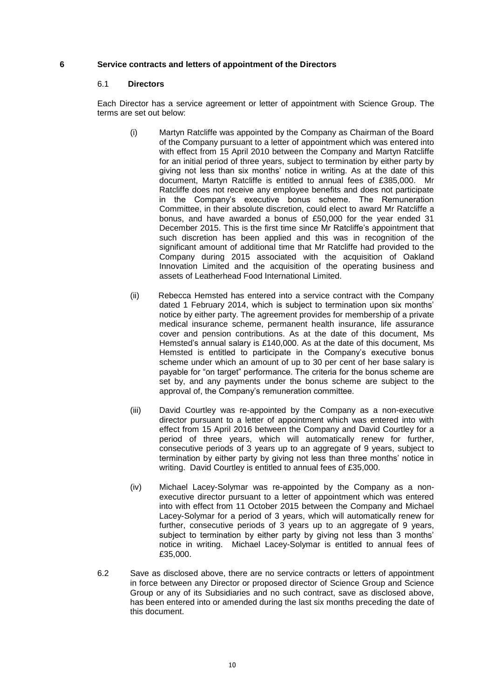# **6 Service contracts and letters of appointment of the Directors**

#### 6.1 **Directors**

Each Director has a service agreement or letter of appointment with Science Group. The terms are set out below:

- (i) Martyn Ratcliffe was appointed by the Company as Chairman of the Board of the Company pursuant to a letter of appointment which was entered into with effect from 15 April 2010 between the Company and Martyn Ratcliffe for an initial period of three years, subject to termination by either party by giving not less than six months' notice in writing. As at the date of this document, Martyn Ratcliffe is entitled to annual fees of £385,000. Mr Ratcliffe does not receive any employee benefits and does not participate in the Company's executive bonus scheme. The Remuneration Committee, in their absolute discretion, could elect to award Mr Ratcliffe a bonus, and have awarded a bonus of £50,000 for the year ended 31 December 2015. This is the first time since Mr Ratcliffe's appointment that such discretion has been applied and this was in recognition of the significant amount of additional time that Mr Ratcliffe had provided to the Company during 2015 associated with the acquisition of Oakland Innovation Limited and the acquisition of the operating business and assets of Leatherhead Food International Limited.
- (ii) Rebecca Hemsted has entered into a service contract with the Company dated 1 February 2014, which is subject to termination upon six months' notice by either party. The agreement provides for membership of a private medical insurance scheme, permanent health insurance, life assurance cover and pension contributions. As at the date of this document, Ms Hemsted's annual salary is £140,000. As at the date of this document, Ms Hemsted is entitled to participate in the Company's executive bonus scheme under which an amount of up to 30 per cent of her base salary is payable for "on target" performance. The criteria for the bonus scheme are set by, and any payments under the bonus scheme are subject to the approval of, the Company's remuneration committee.
- (iii) David Courtley was re-appointed by the Company as a non-executive director pursuant to a letter of appointment which was entered into with effect from 15 April 2016 between the Company and David Courtley for a period of three years, which will automatically renew for further, consecutive periods of 3 years up to an aggregate of 9 years, subject to termination by either party by giving not less than three months' notice in writing. David Courtley is entitled to annual fees of £35,000.
- (iv) Michael Lacey-Solymar was re-appointed by the Company as a nonexecutive director pursuant to a letter of appointment which was entered into with effect from 11 October 2015 between the Company and Michael Lacey-Solymar for a period of 3 years, which will automatically renew for further, consecutive periods of 3 years up to an aggregate of 9 years, subject to termination by either party by giving not less than 3 months' notice in writing. Michael Lacey-Solymar is entitled to annual fees of £35,000.
- 6.2 Save as disclosed above, there are no service contracts or letters of appointment in force between any Director or proposed director of Science Group and Science Group or any of its Subsidiaries and no such contract, save as disclosed above, has been entered into or amended during the last six months preceding the date of this document.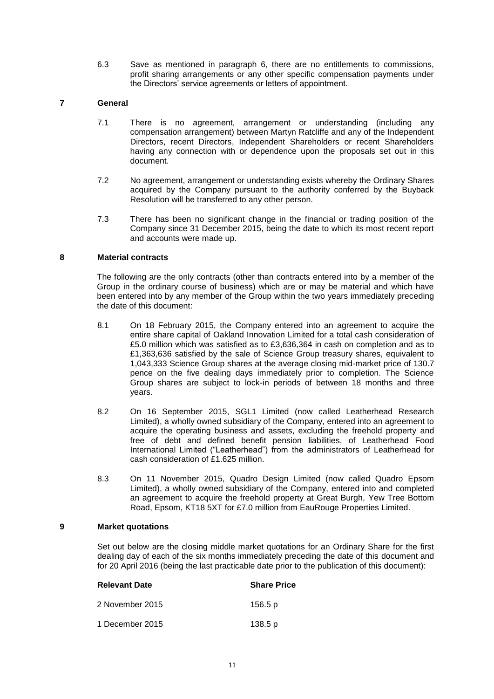6.3 Save as mentioned in paragraph 6, there are no entitlements to commissions, profit sharing arrangements or any other specific compensation payments under the Directors' service agreements or letters of appointment.

# **7 General**

- 7.1 There is no agreement, arrangement or understanding (including any compensation arrangement) between Martyn Ratcliffe and any of the Independent Directors, recent Directors, Independent Shareholders or recent Shareholders having any connection with or dependence upon the proposals set out in this document.
- 7.2 No agreement, arrangement or understanding exists whereby the Ordinary Shares acquired by the Company pursuant to the authority conferred by the Buyback Resolution will be transferred to any other person.
- 7.3 There has been no significant change in the financial or trading position of the Company since 31 December 2015, being the date to which its most recent report and accounts were made up.

# **8 Material contracts**

The following are the only contracts (other than contracts entered into by a member of the Group in the ordinary course of business) which are or may be material and which have been entered into by any member of the Group within the two years immediately preceding the date of this document:

- 8.1 On 18 February 2015, the Company entered into an agreement to acquire the entire share capital of Oakland Innovation Limited for a total cash consideration of £5.0 million which was satisfied as to £3,636,364 in cash on completion and as to £1,363,636 satisfied by the sale of Science Group treasury shares, equivalent to 1,043,333 Science Group shares at the average closing mid-market price of 130.7 pence on the five dealing days immediately prior to completion. The Science Group shares are subject to lock-in periods of between 18 months and three years.
- 8.2 On 16 September 2015, SGL1 Limited (now called Leatherhead Research Limited), a wholly owned subsidiary of the Company, entered into an agreement to acquire the operating business and assets, excluding the freehold property and free of debt and defined benefit pension liabilities, of Leatherhead Food International Limited ("Leatherhead") from the administrators of Leatherhead for cash consideration of £1.625 million.
- 8.3 On 11 November 2015, Quadro Design Limited (now called Quadro Epsom Limited), a wholly owned subsidiary of the Company, entered into and completed an agreement to acquire the freehold property at Great Burgh, Yew Tree Bottom Road, Epsom, KT18 5XT for £7.0 million from EauRouge Properties Limited.

# **9 Market quotations**

Set out below are the closing middle market quotations for an Ordinary Share for the first dealing day of each of the six months immediately preceding the date of this document and for 20 April 2016 (being the last practicable date prior to the publication of this document):

| <b>Relevant Date</b> | <b>Share Price</b> |  |  |
|----------------------|--------------------|--|--|
| 2 November 2015      | 156.5 p            |  |  |
| 1 December 2015      | 138.5 p            |  |  |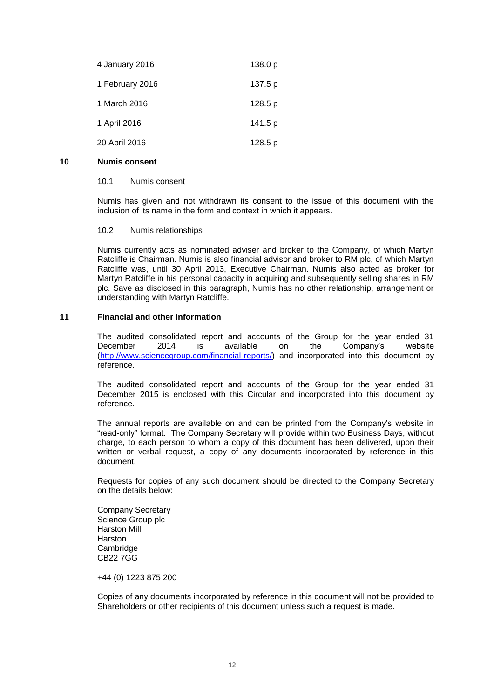| 4 January 2016  | 138.0 p |
|-----------------|---------|
| 1 February 2016 | 137.5 p |
| 1 March 2016    | 128.5 p |
| 1 April 2016    | 141.5 p |
| 20 April 2016   | 128.5 p |

# **10 Numis consent**

# 10.1 Numis consent

Numis has given and not withdrawn its consent to the issue of this document with the inclusion of its name in the form and context in which it appears.

# 10.2 Numis relationships

Numis currently acts as nominated adviser and broker to the Company, of which Martyn Ratcliffe is Chairman. Numis is also financial advisor and broker to RM plc, of which Martyn Ratcliffe was, until 30 April 2013, Executive Chairman. Numis also acted as broker for Martyn Ratcliffe in his personal capacity in acquiring and subsequently selling shares in RM plc. Save as disclosed in this paragraph, Numis has no other relationship, arrangement or understanding with Martyn Ratcliffe.

# **11 Financial and other information**

The audited consolidated report and accounts of the Group for the year ended 31 December 2014 is available on the Company's website [\(http://www.sciencegroup.com/financial-reports/\)](http://www.sciencegroup.com/financial-reports/) and incorporated into this document by reference.

The audited consolidated report and accounts of the Group for the year ended 31 December 2015 is enclosed with this Circular and incorporated into this document by reference.

The annual reports are available on and can be printed from the Company's website in "read-only" format. The Company Secretary will provide within two Business Days, without charge, to each person to whom a copy of this document has been delivered, upon their written or verbal request, a copy of any documents incorporated by reference in this document.

Requests for copies of any such document should be directed to the Company Secretary on the details below:

Company Secretary Science Group plc Harston Mill **Harston Cambridge** CB22 7GG

+44 (0) 1223 875 200

Copies of any documents incorporated by reference in this document will not be provided to Shareholders or other recipients of this document unless such a request is made.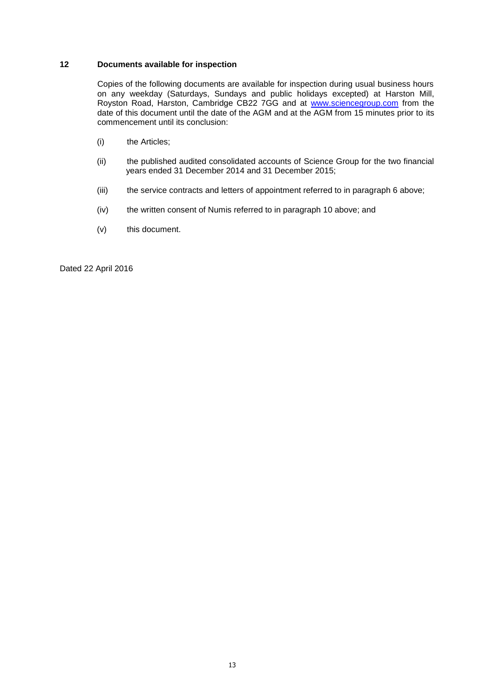# **12 Documents available for inspection**

Copies of the following documents are available for inspection during usual business hours on any weekday (Saturdays, Sundays and public holidays excepted) at Harston Mill, Royston Road, Harston, Cambridge CB22 7GG and at [www.sciencegroup.com](http://www.sciencegroup.com/) from the date of this document until the date of the AGM and at the AGM from 15 minutes prior to its commencement until its conclusion:

- (i) the Articles;
- (ii) the published audited consolidated accounts of Science Group for the two financial years ended 31 December 2014 and 31 December 2015;
- (iii) the service contracts and letters of appointment referred to in paragraph 6 above;
- (iv) the written consent of Numis referred to in paragraph 10 above; and
- (v) this document.

Dated 22 April 2016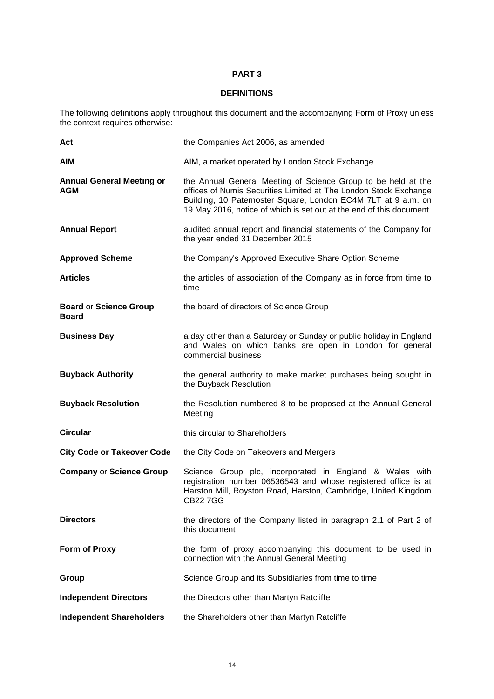# **DEFINITIONS**

The following definitions apply throughout this document and the accompanying Form of Proxy unless the context requires otherwise:

| Act                                            | the Companies Act 2006, as amended                                                                                                                                                                                                                                        |
|------------------------------------------------|---------------------------------------------------------------------------------------------------------------------------------------------------------------------------------------------------------------------------------------------------------------------------|
| <b>AIM</b>                                     | AIM, a market operated by London Stock Exchange                                                                                                                                                                                                                           |
| <b>Annual General Meeting or</b><br><b>AGM</b> | the Annual General Meeting of Science Group to be held at the<br>offices of Numis Securities Limited at The London Stock Exchange<br>Building, 10 Paternoster Square, London EC4M 7LT at 9 a.m. on<br>19 May 2016, notice of which is set out at the end of this document |
| <b>Annual Report</b>                           | audited annual report and financial statements of the Company for<br>the year ended 31 December 2015                                                                                                                                                                      |
| <b>Approved Scheme</b>                         | the Company's Approved Executive Share Option Scheme                                                                                                                                                                                                                      |
| <b>Articles</b>                                | the articles of association of the Company as in force from time to<br>time                                                                                                                                                                                               |
| <b>Board or Science Group</b><br><b>Board</b>  | the board of directors of Science Group                                                                                                                                                                                                                                   |
| <b>Business Day</b>                            | a day other than a Saturday or Sunday or public holiday in England<br>and Wales on which banks are open in London for general<br>commercial business                                                                                                                      |
| <b>Buyback Authority</b>                       | the general authority to make market purchases being sought in<br>the Buyback Resolution                                                                                                                                                                                  |
| <b>Buyback Resolution</b>                      | the Resolution numbered 8 to be proposed at the Annual General<br>Meeting                                                                                                                                                                                                 |
| <b>Circular</b>                                | this circular to Shareholders                                                                                                                                                                                                                                             |
| <b>City Code or Takeover Code</b>              | the City Code on Takeovers and Mergers                                                                                                                                                                                                                                    |
| <b>Company or Science Group</b>                | Science Group plc, incorporated in England & Wales with<br>registration number 06536543 and whose registered office is at<br>Harston Mill, Royston Road, Harston, Cambridge, United Kingdom<br><b>CB227GG</b>                                                             |
| <b>Directors</b>                               | the directors of the Company listed in paragraph 2.1 of Part 2 of<br>this document                                                                                                                                                                                        |
| Form of Proxy                                  | the form of proxy accompanying this document to be used in<br>connection with the Annual General Meeting                                                                                                                                                                  |
| Group                                          | Science Group and its Subsidiaries from time to time                                                                                                                                                                                                                      |
| <b>Independent Directors</b>                   | the Directors other than Martyn Ratcliffe                                                                                                                                                                                                                                 |
| <b>Independent Shareholders</b>                | the Shareholders other than Martyn Ratcliffe                                                                                                                                                                                                                              |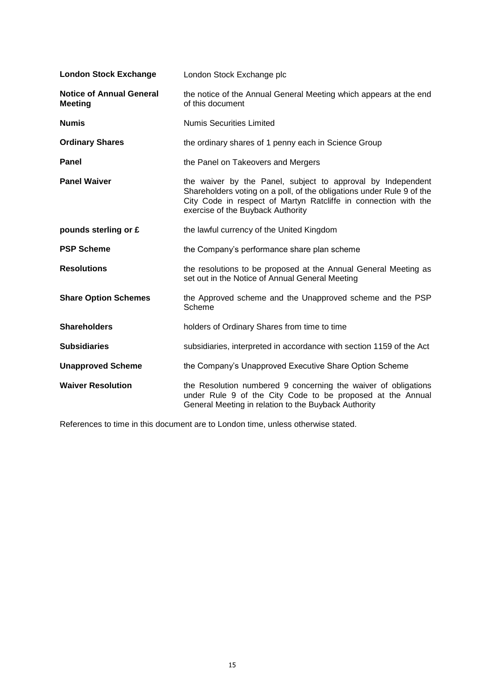| <b>London Stock Exchange</b>                      | London Stock Exchange plc                                                                                                                                                                                                                    |
|---------------------------------------------------|----------------------------------------------------------------------------------------------------------------------------------------------------------------------------------------------------------------------------------------------|
| <b>Notice of Annual General</b><br><b>Meeting</b> | the notice of the Annual General Meeting which appears at the end<br>of this document                                                                                                                                                        |
| <b>Numis</b>                                      | <b>Numis Securities Limited</b>                                                                                                                                                                                                              |
| <b>Ordinary Shares</b>                            | the ordinary shares of 1 penny each in Science Group                                                                                                                                                                                         |
| Panel                                             | the Panel on Takeovers and Mergers                                                                                                                                                                                                           |
| <b>Panel Waiver</b>                               | the waiver by the Panel, subject to approval by Independent<br>Shareholders voting on a poll, of the obligations under Rule 9 of the<br>City Code in respect of Martyn Ratcliffe in connection with the<br>exercise of the Buyback Authority |
| pounds sterling or £                              | the lawful currency of the United Kingdom                                                                                                                                                                                                    |
| <b>PSP Scheme</b>                                 | the Company's performance share plan scheme                                                                                                                                                                                                  |
| <b>Resolutions</b>                                | the resolutions to be proposed at the Annual General Meeting as<br>set out in the Notice of Annual General Meeting                                                                                                                           |
| <b>Share Option Schemes</b>                       | the Approved scheme and the Unapproved scheme and the PSP<br>Scheme                                                                                                                                                                          |
| <b>Shareholders</b>                               | holders of Ordinary Shares from time to time                                                                                                                                                                                                 |
| <b>Subsidiaries</b>                               | subsidiaries, interpreted in accordance with section 1159 of the Act                                                                                                                                                                         |
| <b>Unapproved Scheme</b>                          | the Company's Unapproved Executive Share Option Scheme                                                                                                                                                                                       |
| <b>Waiver Resolution</b>                          | the Resolution numbered 9 concerning the waiver of obligations<br>under Rule 9 of the City Code to be proposed at the Annual<br>General Meeting in relation to the Buyback Authority                                                         |

References to time in this document are to London time, unless otherwise stated.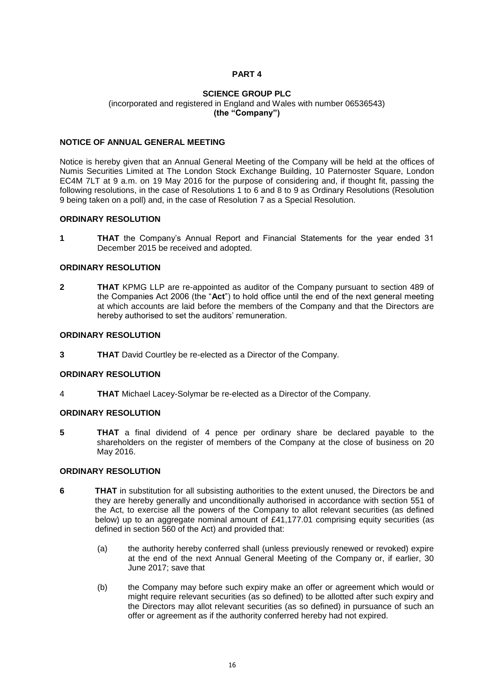#### **SCIENCE GROUP PLC** (incorporated and registered in England and Wales with number 06536543) **(the "Company")**

# **NOTICE OF ANNUAL GENERAL MEETING**

Notice is hereby given that an Annual General Meeting of the Company will be held at the offices of Numis Securities Limited at The London Stock Exchange Building, 10 Paternoster Square, London EC4M 7LT at 9 a.m. on 19 May 2016 for the purpose of considering and, if thought fit, passing the following resolutions, in the case of Resolutions 1 to 6 and 8 to 9 as Ordinary Resolutions (Resolution 9 being taken on a poll) and, in the case of Resolution 7 as a Special Resolution.

#### **ORDINARY RESOLUTION**

**1 THAT** the Company's Annual Report and Financial Statements for the year ended 31 December 2015 be received and adopted.

## **ORDINARY RESOLUTION**

**2 THAT** KPMG LLP are re-appointed as auditor of the Company pursuant to section 489 of the Companies Act 2006 (the "**Act**") to hold office until the end of the next general meeting at which accounts are laid before the members of the Company and that the Directors are hereby authorised to set the auditors' remuneration.

#### **ORDINARY RESOLUTION**

**3 THAT** David Courtley be re-elected as a Director of the Company.

#### **ORDINARY RESOLUTION**

4 **THAT** Michael Lacey-Solymar be re-elected as a Director of the Company.

# **ORDINARY RESOLUTION**

**5 THAT** a final dividend of 4 pence per ordinary share be declared payable to the shareholders on the register of members of the Company at the close of business on 20 May 2016.

# **ORDINARY RESOLUTION**

- **6 THAT** in substitution for all subsisting authorities to the extent unused, the Directors be and they are hereby generally and unconditionally authorised in accordance with section 551 of the Act, to exercise all the powers of the Company to allot relevant securities (as defined below) up to an aggregate nominal amount of £41,177.01 comprising equity securities (as defined in section 560 of the Act) and provided that:
	- (a) the authority hereby conferred shall (unless previously renewed or revoked) expire at the end of the next Annual General Meeting of the Company or, if earlier, 30 June 2017; save that
	- (b) the Company may before such expiry make an offer or agreement which would or might require relevant securities (as so defined) to be allotted after such expiry and the Directors may allot relevant securities (as so defined) in pursuance of such an offer or agreement as if the authority conferred hereby had not expired.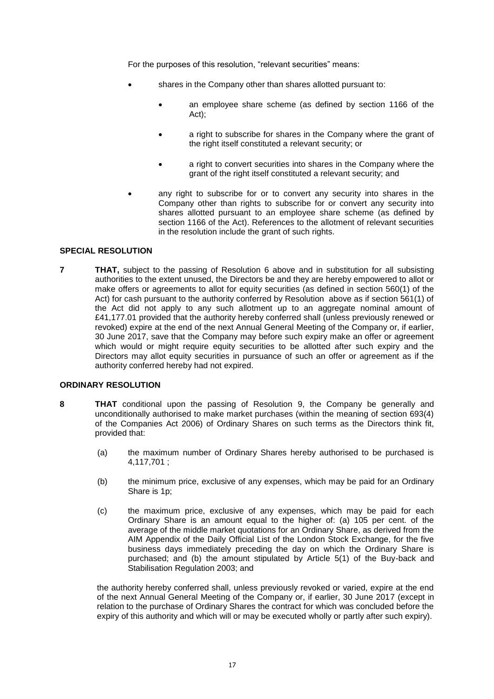For the purposes of this resolution, "relevant securities" means:

- shares in the Company other than shares allotted pursuant to:
	- an employee share scheme (as defined by section 1166 of the Act);
	- a right to subscribe for shares in the Company where the grant of the right itself constituted a relevant security; or
	- a right to convert securities into shares in the Company where the grant of the right itself constituted a relevant security; and
- any right to subscribe for or to convert any security into shares in the Company other than rights to subscribe for or convert any security into shares allotted pursuant to an employee share scheme (as defined by section 1166 of the Act). References to the allotment of relevant securities in the resolution include the grant of such rights.

# **SPECIAL RESOLUTION**

**7 THAT,** subject to the passing of Resolution 6 above and in substitution for all subsisting authorities to the extent unused, the Directors be and they are hereby empowered to allot or make offers or agreements to allot for equity securities (as defined in section 560(1) of the Act) for cash pursuant to the authority conferred by Resolution above as if section 561(1) of the Act did not apply to any such allotment up to an aggregate nominal amount of £41,177.01 provided that the authority hereby conferred shall (unless previously renewed or revoked) expire at the end of the next Annual General Meeting of the Company or, if earlier, 30 June 2017, save that the Company may before such expiry make an offer or agreement which would or might require equity securities to be allotted after such expiry and the Directors may allot equity securities in pursuance of such an offer or agreement as if the authority conferred hereby had not expired.

# **ORDINARY RESOLUTION**

- **8 THAT** conditional upon the passing of Resolution 9, the Company be generally and unconditionally authorised to make market purchases (within the meaning of section 693(4) of the Companies Act 2006) of Ordinary Shares on such terms as the Directors think fit, provided that:
	- (a) the maximum number of Ordinary Shares hereby authorised to be purchased is 4,117,701 ;
	- (b) the minimum price, exclusive of any expenses, which may be paid for an Ordinary Share is 1p;
	- (c) the maximum price, exclusive of any expenses, which may be paid for each Ordinary Share is an amount equal to the higher of: (a) 105 per cent. of the average of the middle market quotations for an Ordinary Share, as derived from the AIM Appendix of the Daily Official List of the London Stock Exchange, for the five business days immediately preceding the day on which the Ordinary Share is purchased; and (b) the amount stipulated by Article 5(1) of the Buy-back and Stabilisation Regulation 2003; and

the authority hereby conferred shall, unless previously revoked or varied, expire at the end of the next Annual General Meeting of the Company or, if earlier, 30 June 2017 (except in relation to the purchase of Ordinary Shares the contract for which was concluded before the expiry of this authority and which will or may be executed wholly or partly after such expiry).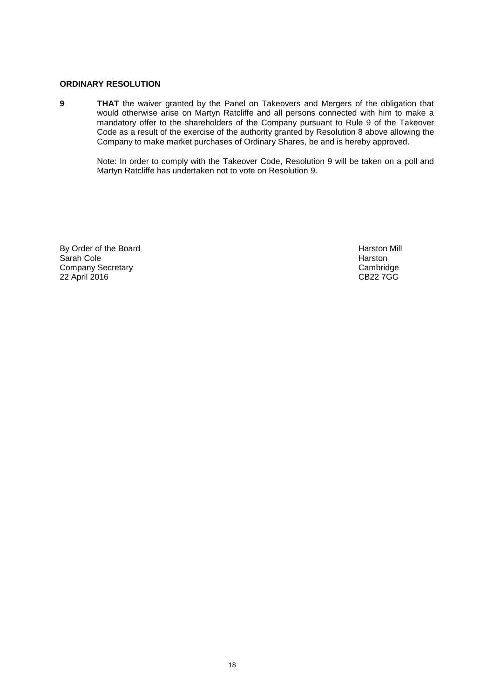# **ORDINARY RESOLUTION**

**9 THAT** the waiver granted by the Panel on Takeovers and Mergers of the obligation that would otherwise arise on Martyn Ratcliffe and all persons connected with him to make a mandatory offer to the shareholders of the Company pursuant to Rule 9 of the Takeover Code as a result of the exercise of the authority granted by Resolution 8 above allowing the Company to make market purchases of Ordinary Shares, be and is hereby approved.

> Note: In order to comply with the Takeover Code, Resolution 9 will be taken on a poll and Martyn Ratcliffe has undertaken not to vote on Resolution 9.

By Order of the Board **Harston Mill** Sarah Cole **Manusia Sarah Cole Access 1999**<br>
Sarah Company Secretary<br>
Cambridge Company Secretary Company Secretary **Cambridge**<br>
22 April 2016 **Cambridge**<br>
22 April 2016 22 April 2016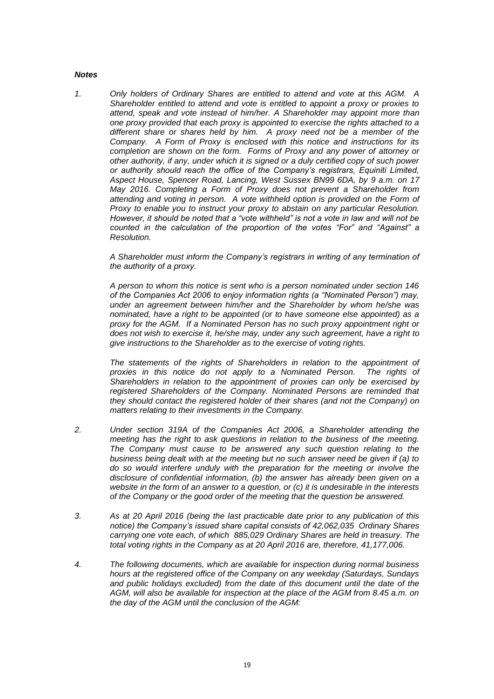#### *Notes*

*1. Only holders of Ordinary Shares are entitled to attend and vote at this AGM. A Shareholder entitled to attend and vote is entitled to appoint a proxy or proxies to attend, speak and vote instead of him/her. A Shareholder may appoint more than one proxy provided that each proxy is appointed to exercise the rights attached to a different share or shares held by him. A proxy need not be a member of the Company. A Form of Proxy is enclosed with this notice and instructions for its completion are shown on the form. Forms of Proxy and any power of attorney or other authority, if any, under which it is signed or a duly certified copy of such power or authority should reach the office of the Company's registrars, Equiniti Limited, Aspect House, Spencer Road, Lancing, West Sussex BN99 6DA, by 9 a.m. on 17 May 2016. Completing a Form of Proxy does not prevent a Shareholder from attending and voting in person. A vote withheld option is provided on the Form of Proxy to enable you to instruct your proxy to abstain on any particular Resolution. However, it should be noted that a "vote withheld" is not a vote in law and will not be counted in the calculation of the proportion of the votes "For" and "Against" a Resolution.*

> *A Shareholder must inform the Company's registrars in writing of any termination of the authority of a proxy.*

> *A person to whom this notice is sent who is a person nominated under section 146 of the Companies Act 2006 to enjoy information rights (a "Nominated Person") may, under an agreement between him/her and the Shareholder by whom he/she was nominated, have a right to be appointed (or to have someone else appointed) as a proxy for the AGM. If a Nominated Person has no such proxy appointment right or does not wish to exercise it, he/she may, under any such agreement, have a right to give instructions to the Shareholder as to the exercise of voting rights.*

> The statements of the rights of Shareholders in relation to the appointment of *proxies in this notice do not apply to a Nominated Person. The rights of Shareholders in relation to the appointment of proxies can only be exercised by registered Shareholders of the Company. Nominated Persons are reminded that they should contact the registered holder of their shares (and not the Company) on matters relating to their investments in the Company.*

- *2. Under section 319A of the Companies Act 2006, a Shareholder attending the meeting has the right to ask questions in relation to the business of the meeting. The Company must cause to be answered any such question relating to the business being dealt with at the meeting but no such answer need be given if (a) to do so would interfere unduly with the preparation for the meeting or involve the disclosure of confidential information, (b) the answer has already been given on a website in the form of an answer to a question, or (c) it is undesirable in the interests of the Company or the good order of the meeting that the question be answered.*
- *3. As at 20 April 2016 (being the last practicable date prior to any publication of this notice) the Company's issued share capital consists of 42,062,035 Ordinary Shares carrying one vote each, of which 885,029 Ordinary Shares are held in treasury. The total voting rights in the Company as at 20 April 2016 are, therefore, 41,177,006.*
- *4. The following documents, which are available for inspection during normal business hours at the registered office of the Company on any weekday (Saturdays, Sundays and public holidays excluded) from the date of this document until the date of the AGM, will also be available for inspection at the place of the AGM from 8.45 a.m. on the day of the AGM until the conclusion of the AGM:*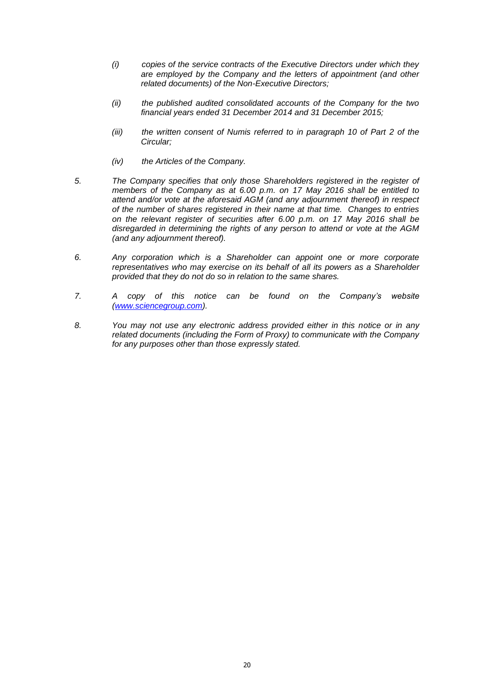- *(i) copies of the service contracts of the Executive Directors under which they are employed by the Company and the letters of appointment (and other related documents) of the Non-Executive Directors;*
- *(ii) the published audited consolidated accounts of the Company for the two financial years ended 31 December 2014 and 31 December 2015;*
- *(iii) the written consent of Numis referred to in paragraph 10 of Part 2 of the Circular;*
- *(iv) the Articles of the Company.*
- *5. The Company specifies that only those Shareholders registered in the register of members of the Company as at 6.00 p.m. on 17 May 2016 shall be entitled to attend and/or vote at the aforesaid AGM (and any adjournment thereof) in respect of the number of shares registered in their name at that time. Changes to entries on the relevant register of securities after 6.00 p.m. on 17 May 2016 shall be disregarded in determining the rights of any person to attend or vote at the AGM (and any adjournment thereof).*
- *6. Any corporation which is a Shareholder can appoint one or more corporate representatives who may exercise on its behalf of all its powers as a Shareholder provided that they do not do so in relation to the same shares.*
- *7. A copy of this notice can be found on the Company's website [\(www.sciencegroup.com\)](http://www.sciencegroup.com/).*
- *8. You may not use any electronic address provided either in this notice or in any related documents (including the Form of Proxy) to communicate with the Company for any purposes other than those expressly stated.*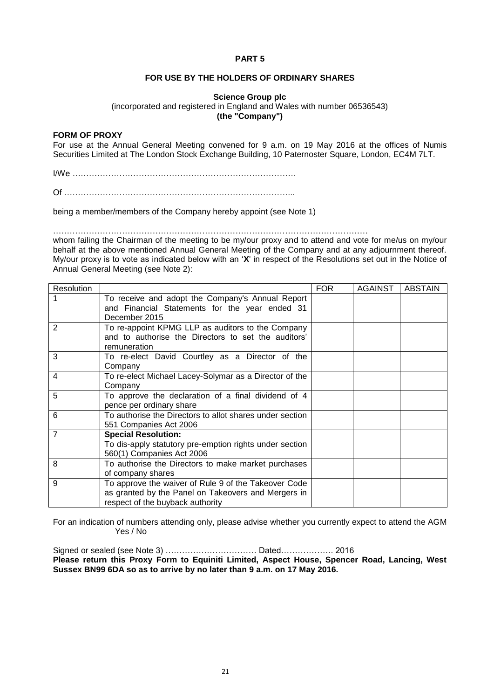# **FOR USE BY THE HOLDERS OF ORDINARY SHARES**

# **Science Group plc**

(incorporated and registered in England and Wales with number 06536543) **(the "Company")**

#### **FORM OF PROXY**

For use at the Annual General Meeting convened for 9 a.m. on 19 May 2016 at the offices of Numis Securities Limited at The London Stock Exchange Building, 10 Paternoster Square, London, EC4M 7LT.

I/We ………………………………………………………………………

Of ………………………………………………………………………...

being a member/members of the Company hereby appoint (see Note 1)

……………………………………………………………………………………………………

whom failing the Chairman of the meeting to be my/our proxy and to attend and vote for me/us on my/our behalf at the above mentioned Annual General Meeting of the Company and at any adjournment thereof. My/our proxy is to vote as indicated below with an '**X**' in respect of the Resolutions set out in the Notice of Annual General Meeting (see Note 2):

| Resolution     |                                                          | <b>FOR</b> | <b>AGAINST</b> | <b>ABSTAIN</b> |
|----------------|----------------------------------------------------------|------------|----------------|----------------|
|                | To receive and adopt the Company's Annual Report         |            |                |                |
|                | and Financial Statements for the year ended 31           |            |                |                |
|                | December 2015                                            |            |                |                |
| 2              | To re-appoint KPMG LLP as auditors to the Company        |            |                |                |
|                | and to authorise the Directors to set the auditors'      |            |                |                |
|                | remuneration                                             |            |                |                |
| 3              | To re-elect David Courtley as a Director of the          |            |                |                |
|                | Company                                                  |            |                |                |
| 4              | To re-elect Michael Lacey-Solymar as a Director of the   |            |                |                |
|                | Company                                                  |            |                |                |
| 5              | To approve the declaration of a final dividend of 4      |            |                |                |
|                | pence per ordinary share                                 |            |                |                |
| 6              | To authorise the Directors to allot shares under section |            |                |                |
|                | 551 Companies Act 2006                                   |            |                |                |
| $\overline{7}$ | <b>Special Resolution:</b>                               |            |                |                |
|                | To dis-apply statutory pre-emption rights under section  |            |                |                |
|                | 560(1) Companies Act 2006                                |            |                |                |
| 8              | To authorise the Directors to make market purchases      |            |                |                |
|                | of company shares                                        |            |                |                |
| 9              | To approve the waiver of Rule 9 of the Takeover Code     |            |                |                |
|                | as granted by the Panel on Takeovers and Mergers in      |            |                |                |
|                | respect of the buyback authority                         |            |                |                |

For an indication of numbers attending only, please advise whether you currently expect to attend the AGM Yes / No

Signed or sealed (see Note 3) …………………………… Dated………………. 2016 **Please return this Proxy Form to Equiniti Limited, Aspect House, Spencer Road, Lancing, West Sussex BN99 6DA so as to arrive by no later than 9 a.m. on 17 May 2016.**